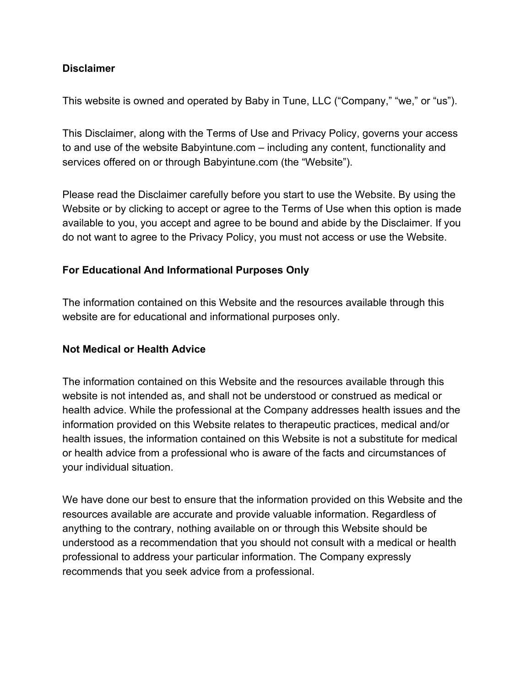## **Disclaimer**

This website is owned and operated by Baby in Tune, LLC ("Company," "we," or "us").

This Disclaimer, along with the Terms of Use and Privacy Policy, governs your access to and use of the website Babyintune.com – including any content, functionality and services offered on or through Babyintune.com (the "Website").

Please read the Disclaimer carefully before you start to use the Website. By using the Website or by clicking to accept or agree to the Terms of Use when this option is made available to you, you accept and agree to be bound and abide by the Disclaimer. If you do not want to agree to the Privacy Policy, you must not access or use the Website.

### **For Educational And Informational Purposes Only**

The information contained on this Website and the resources available through this website are for educational and informational purposes only.

#### **Not Medical or Health Advice**

The information contained on this Website and the resources available through this website is not intended as, and shall not be understood or construed as medical or health advice. While the professional at the Company addresses health issues and the information provided on this Website relates to therapeutic practices, medical and/or health issues, the information contained on this Website is not a substitute for medical or health advice from a professional who is aware of the facts and circumstances of your individual situation.

We have done our best to ensure that the information provided on this Website and the resources available are accurate and provide valuable information. Regardless of anything to the contrary, nothing available on or through this Website should be understood as a recommendation that you should not consult with a medical or health professional to address your particular information. The Company expressly recommends that you seek advice from a professional.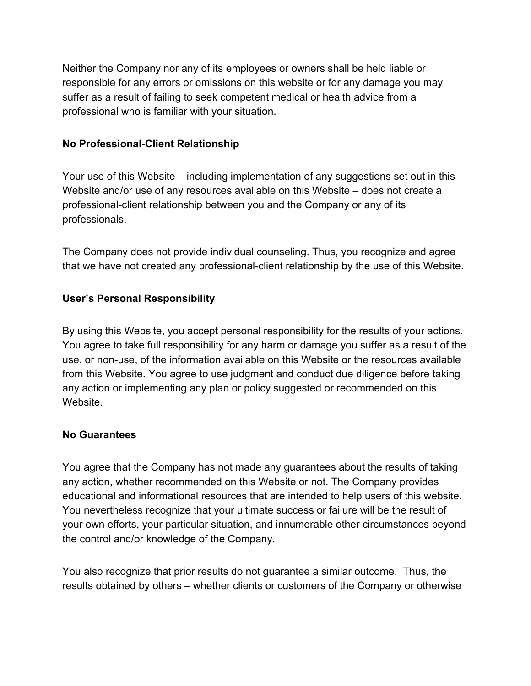Neither the Company nor any of its employees or owners shall be held liable or responsible for any errors or omissions on this website or for any damage you may suffer as a result of failing to seek competent medical or health advice from a professional who is familiar with your situation.

## **No Professional-Client Relationship**

Your use of this Website – including implementation of any suggestions set out in this Website and/or use of any resources available on this Website – does not create a professional-client relationship between you and the Company or any of its professionals.

The Company does not provide individual counseling. Thus, you recognize and agree that we have not created any professional-client relationship by the use of this Website.

# **User's Personal Responsibility**

By using this Website, you accept personal responsibility for the results of your actions. You agree to take full responsibility for any harm or damage you suffer as a result of the use, or non-use, of the information available on this Website or the resources available from this Website. You agree to use judgment and conduct due diligence before taking any action or implementing any plan or policy suggested or recommended on this Website.

## **No Guarantees**

You agree that the Company has not made any guarantees about the results of taking any action, whether recommended on this Website or not. The Company provides educational and informational resources that are intended to help users of this website. You nevertheless recognize that your ultimate success or failure will be the result of your own efforts, your particular situation, and innumerable other circumstances beyond the control and/or knowledge of the Company.

You also recognize that prior results do not guarantee a similar outcome. Thus, the results obtained by others – whether clients or customers of the Company or otherwise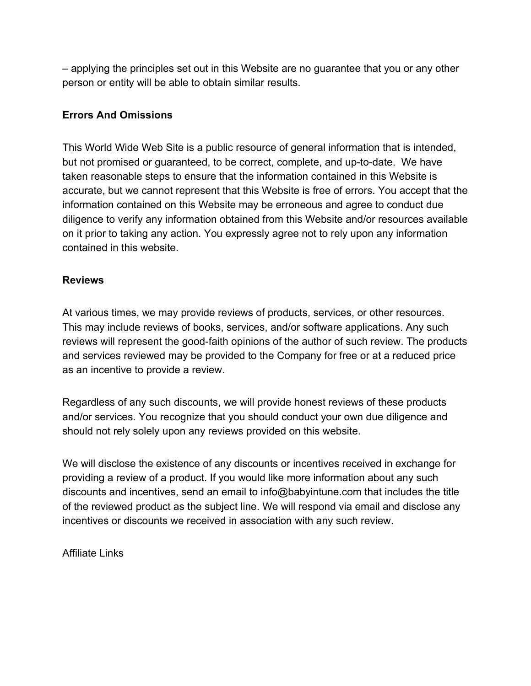– applying the principles set out in this Website are no guarantee that you or any other person or entity will be able to obtain similar results.

## **Errors And Omissions**

This World Wide Web Site is a public resource of general information that is intended, but not promised or guaranteed, to be correct, complete, and up-to-date. We have taken reasonable steps to ensure that the information contained in this Website is accurate, but we cannot represent that this Website is free of errors. You accept that the information contained on this Website may be erroneous and agree to conduct due diligence to verify any information obtained from this Website and/or resources available on it prior to taking any action. You expressly agree not to rely upon any information contained in this website.

### **Reviews**

At various times, we may provide reviews of products, services, or other resources. This may include reviews of books, services, and/or software applications. Any such reviews will represent the good-faith opinions of the author of such review. The products and services reviewed may be provided to the Company for free or at a reduced price as an incentive to provide a review.

Regardless of any such discounts, we will provide honest reviews of these products and/or services. You recognize that you should conduct your own due diligence and should not rely solely upon any reviews provided on this website.

We will disclose the existence of any discounts or incentives received in exchange for providing a review of a product. If you would like more information about any such discounts and incentives, send an email to info@babyintune.com that includes the title of the reviewed product as the subject line. We will respond via email and disclose any incentives or discounts we received in association with any such review.

Affiliate Links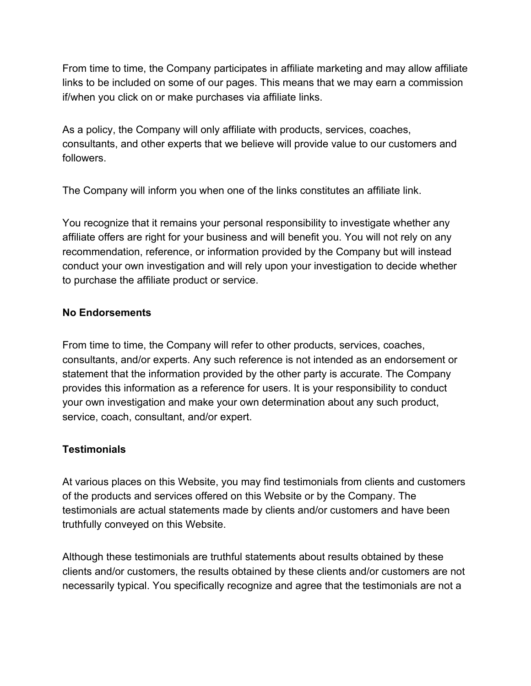From time to time, the Company participates in affiliate marketing and may allow affiliate links to be included on some of our pages. This means that we may earn a commission if/when you click on or make purchases via affiliate links.

As a policy, the Company will only affiliate with products, services, coaches, consultants, and other experts that we believe will provide value to our customers and followers.

The Company will inform you when one of the links constitutes an affiliate link.

You recognize that it remains your personal responsibility to investigate whether any affiliate offers are right for your business and will benefit you. You will not rely on any recommendation, reference, or information provided by the Company but will instead conduct your own investigation and will rely upon your investigation to decide whether to purchase the affiliate product or service.

# **No Endorsements**

From time to time, the Company will refer to other products, services, coaches, consultants, and/or experts. Any such reference is not intended as an endorsement or statement that the information provided by the other party is accurate. The Company provides this information as a reference for users. It is your responsibility to conduct your own investigation and make your own determination about any such product, service, coach, consultant, and/or expert.

# **Testimonials**

At various places on this Website, you may find testimonials from clients and customers of the products and services offered on this Website or by the Company. The testimonials are actual statements made by clients and/or customers and have been truthfully conveyed on this Website.

Although these testimonials are truthful statements about results obtained by these clients and/or customers, the results obtained by these clients and/or customers are not necessarily typical. You specifically recognize and agree that the testimonials are not a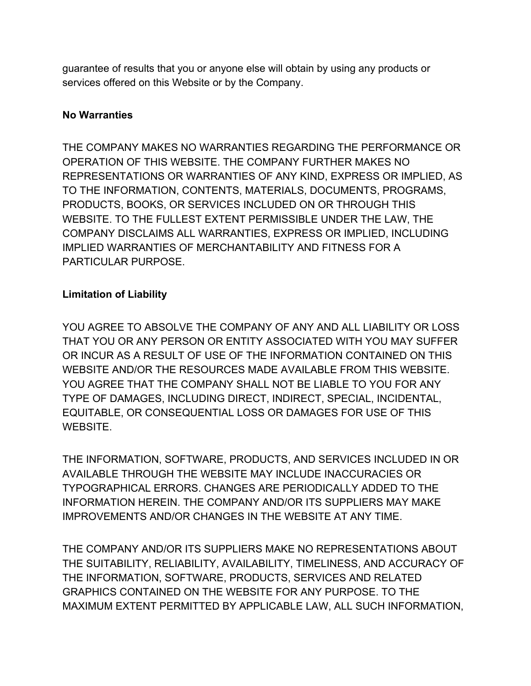guarantee of results that you or anyone else will obtain by using any products or services offered on this Website or by the Company.

### **No Warranties**

THE COMPANY MAKES NO WARRANTIES REGARDING THE PERFORMANCE OR OPERATION OF THIS WEBSITE. THE COMPANY FURTHER MAKES NO REPRESENTATIONS OR WARRANTIES OF ANY KIND, EXPRESS OR IMPLIED, AS TO THE INFORMATION, CONTENTS, MATERIALS, DOCUMENTS, PROGRAMS, PRODUCTS, BOOKS, OR SERVICES INCLUDED ON OR THROUGH THIS WEBSITE. TO THE FULLEST EXTENT PERMISSIBLE UNDER THE LAW, THE COMPANY DISCLAIMS ALL WARRANTIES, EXPRESS OR IMPLIED, INCLUDING IMPLIED WARRANTIES OF MERCHANTABILITY AND FITNESS FOR A PARTICULAR PURPOSE.

# **Limitation of Liability**

YOU AGREE TO ABSOLVE THE COMPANY OF ANY AND ALL LIABILITY OR LOSS THAT YOU OR ANY PERSON OR ENTITY ASSOCIATED WITH YOU MAY SUFFER OR INCUR AS A RESULT OF USE OF THE INFORMATION CONTAINED ON THIS WEBSITE AND/OR THE RESOURCES MADE AVAILABLE FROM THIS WEBSITE. YOU AGREE THAT THE COMPANY SHALL NOT BE LIABLE TO YOU FOR ANY TYPE OF DAMAGES, INCLUDING DIRECT, INDIRECT, SPECIAL, INCIDENTAL, EQUITABLE, OR CONSEQUENTIAL LOSS OR DAMAGES FOR USE OF THIS WEBSITE.

THE INFORMATION, SOFTWARE, PRODUCTS, AND SERVICES INCLUDED IN OR AVAILABLE THROUGH THE WEBSITE MAY INCLUDE INACCURACIES OR TYPOGRAPHICAL ERRORS. CHANGES ARE PERIODICALLY ADDED TO THE INFORMATION HEREIN. THE COMPANY AND/OR ITS SUPPLIERS MAY MAKE IMPROVEMENTS AND/OR CHANGES IN THE WEBSITE AT ANY TIME.

THE COMPANY AND/OR ITS SUPPLIERS MAKE NO REPRESENTATIONS ABOUT THE SUITABILITY, RELIABILITY, AVAILABILITY, TIMELINESS, AND ACCURACY OF THE INFORMATION, SOFTWARE, PRODUCTS, SERVICES AND RELATED GRAPHICS CONTAINED ON THE WEBSITE FOR ANY PURPOSE. TO THE MAXIMUM EXTENT PERMITTED BY APPLICABLE LAW, ALL SUCH INFORMATION,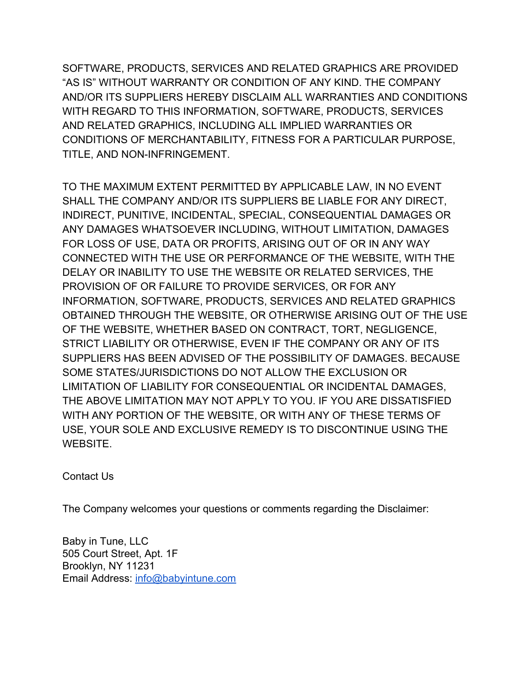SOFTWARE, PRODUCTS, SERVICES AND RELATED GRAPHICS ARE PROVIDED "AS IS" WITHOUT WARRANTY OR CONDITION OF ANY KIND. THE COMPANY AND/OR ITS SUPPLIERS HEREBY DISCLAIM ALL WARRANTIES AND CONDITIONS WITH REGARD TO THIS INFORMATION, SOFTWARE, PRODUCTS, SERVICES AND RELATED GRAPHICS, INCLUDING ALL IMPLIED WARRANTIES OR CONDITIONS OF MERCHANTABILITY, FITNESS FOR A PARTICULAR PURPOSE, TITLE, AND NON-INFRINGEMENT.

TO THE MAXIMUM EXTENT PERMITTED BY APPLICABLE LAW, IN NO EVENT SHALL THE COMPANY AND/OR ITS SUPPLIERS BE LIABLE FOR ANY DIRECT, INDIRECT, PUNITIVE, INCIDENTAL, SPECIAL, CONSEQUENTIAL DAMAGES OR ANY DAMAGES WHATSOEVER INCLUDING, WITHOUT LIMITATION, DAMAGES FOR LOSS OF USE, DATA OR PROFITS, ARISING OUT OF OR IN ANY WAY CONNECTED WITH THE USE OR PERFORMANCE OF THE WEBSITE, WITH THE DELAY OR INABILITY TO USE THE WEBSITE OR RELATED SERVICES, THE PROVISION OF OR FAILURE TO PROVIDE SERVICES, OR FOR ANY INFORMATION, SOFTWARE, PRODUCTS, SERVICES AND RELATED GRAPHICS OBTAINED THROUGH THE WEBSITE, OR OTHERWISE ARISING OUT OF THE USE OF THE WEBSITE, WHETHER BASED ON CONTRACT, TORT, NEGLIGENCE, STRICT LIABILITY OR OTHERWISE, EVEN IF THE COMPANY OR ANY OF ITS SUPPLIERS HAS BEEN ADVISED OF THE POSSIBILITY OF DAMAGES. BECAUSE SOME STATES/JURISDICTIONS DO NOT ALLOW THE EXCLUSION OR LIMITATION OF LIABILITY FOR CONSEQUENTIAL OR INCIDENTAL DAMAGES, THE ABOVE LIMITATION MAY NOT APPLY TO YOU. IF YOU ARE DISSATISFIED WITH ANY PORTION OF THE WEBSITE, OR WITH ANY OF THESE TERMS OF USE, YOUR SOLE AND EXCLUSIVE REMEDY IS TO DISCONTINUE USING THE WEBSITE.

Contact Us

The Company welcomes your questions or comments regarding the Disclaimer:

Baby in Tune, LLC 505 Court Street, Apt. 1F Brooklyn, NY 11231 Email Address: [info@babyintune.com](mailto:info@babyintune.com)